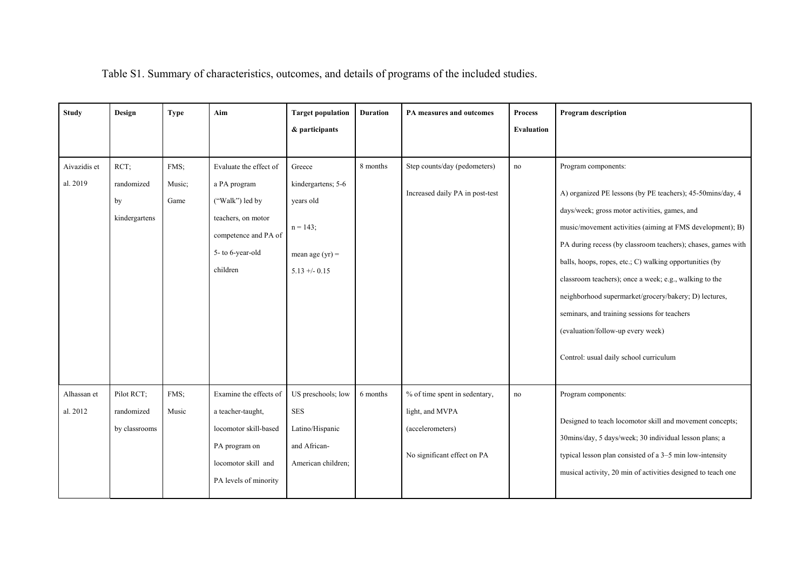| <b>Study</b>             | Design                                    | <b>Type</b>            | Aim                                                                                                                                     | <b>Target population</b><br>& participants                                                     | <b>Duration</b> | PA measures and outcomes                                                                            | <b>Process</b><br><b>Evaluation</b> | <b>Program</b> description                                                                                                                                                                                                                                                                                                                                                                                                                                                                                                                                                   |
|--------------------------|-------------------------------------------|------------------------|-----------------------------------------------------------------------------------------------------------------------------------------|------------------------------------------------------------------------------------------------|-----------------|-----------------------------------------------------------------------------------------------------|-------------------------------------|------------------------------------------------------------------------------------------------------------------------------------------------------------------------------------------------------------------------------------------------------------------------------------------------------------------------------------------------------------------------------------------------------------------------------------------------------------------------------------------------------------------------------------------------------------------------------|
| Aivazidis et<br>al. 2019 | RCT:<br>randomized<br>by<br>kindergartens | FMS;<br>Music;<br>Game | Evaluate the effect of<br>a PA program<br>("Walk") led by<br>teachers, on motor<br>competence and PA of<br>5- to 6-year-old<br>children | Greece<br>kindergartens; 5-6<br>years old<br>$n = 143;$<br>mean age $(yr) =$<br>$5.13 + -0.15$ | 8 months        | Step counts/day (pedometers)<br>Increased daily PA in post-test                                     | no                                  | Program components:<br>A) organized PE lessons (by PE teachers); 45-50mins/day, 4<br>days/week; gross motor activities, games, and<br>music/movement activities (aiming at FMS development); B)<br>PA during recess (by classroom teachers); chases, games with<br>balls, hoops, ropes, etc.; C) walking opportunities (by<br>classroom teachers); once a week; e.g., walking to the<br>neighborhood supermarket/grocery/bakery; D) lectures,<br>seminars, and training sessions for teachers<br>(evaluation/follow-up every week)<br>Control: usual daily school curriculum |
| Alhassan et<br>al. 2012  | Pilot RCT;<br>randomized<br>by classrooms | FMS;<br>Music          | Examine the effects of<br>a teacher-taught,<br>locomotor skill-based<br>PA program on<br>locomotor skill and<br>PA levels of minority   | US preschools; low<br>SES<br>Latino/Hispanic<br>and African-<br>American children;             | 6 months        | % of time spent in sedentary,<br>light, and MVPA<br>(accelerometers)<br>No significant effect on PA | no                                  | Program components:<br>Designed to teach locomotor skill and movement concepts;<br>30mins/day, 5 days/week; 30 individual lesson plans; a<br>typical lesson plan consisted of a 3-5 min low-intensity<br>musical activity, 20 min of activities designed to teach one                                                                                                                                                                                                                                                                                                        |

Table S1. Summary of characteristics, outcomes, and details of programs of the included studies.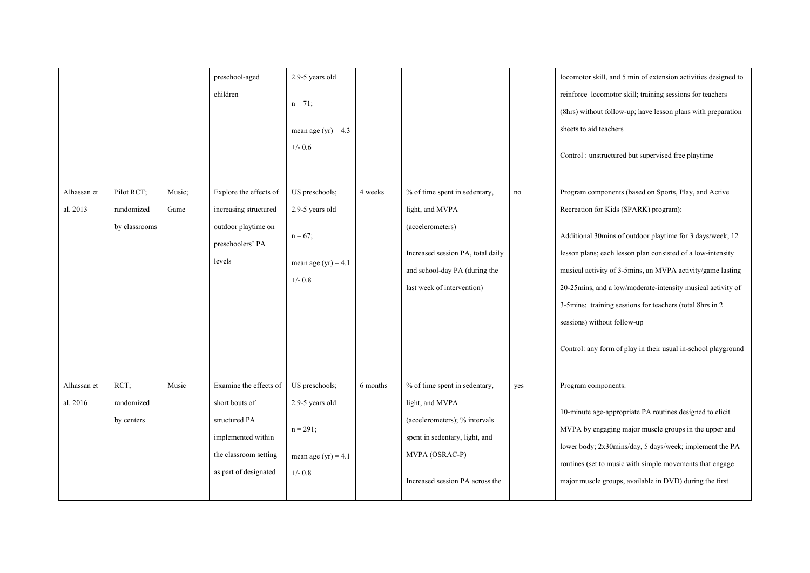|                         |                                           |                | preschool-aged<br>children                                                                                                        | 2.9-5 years old<br>$n = 71$ ;<br>mean age (yr) = $4.3$<br>$+/- 0.6$                   |          |                                                                                                                                                                          |                     | locomotor skill, and 5 min of extension activities designed to<br>reinforce locomotor skill; training sessions for teachers<br>(8hrs) without follow-up; have lesson plans with preparation<br>sheets to aid teachers<br>Control: unstructured but supervised free playtime                                                                                                                                                                                                                                         |
|-------------------------|-------------------------------------------|----------------|-----------------------------------------------------------------------------------------------------------------------------------|---------------------------------------------------------------------------------------|----------|--------------------------------------------------------------------------------------------------------------------------------------------------------------------------|---------------------|---------------------------------------------------------------------------------------------------------------------------------------------------------------------------------------------------------------------------------------------------------------------------------------------------------------------------------------------------------------------------------------------------------------------------------------------------------------------------------------------------------------------|
| Alhassan et<br>al. 2013 | Pilot RCT;<br>randomized<br>by classrooms | Music;<br>Game | Explore the effects of<br>increasing structured<br>outdoor playtime on<br>preschoolers' PA<br>levels                              | US preschools;<br>2.9-5 years old<br>$n = 67$ ;<br>mean age $(yr) = 4.1$<br>$+/- 0.8$ | 4 weeks  | % of time spent in sedentary,<br>light, and MVPA<br>(accelerometers)<br>Increased session PA, total daily<br>and school-day PA (during the<br>last week of intervention) | $\operatorname{no}$ | Program components (based on Sports, Play, and Active<br>Recreation for Kids (SPARK) program):<br>Additional 30mins of outdoor playtime for 3 days/week; 12<br>lesson plans; each lesson plan consisted of a low-intensity<br>musical activity of 3-5mins, an MVPA activity/game lasting<br>20-25mins, and a low/moderate-intensity musical activity of<br>3-5mins; training sessions for teachers (total 8hrs in 2<br>sessions) without follow-up<br>Control: any form of play in their usual in-school playground |
| Alhassan et<br>al. 2016 | RCT;<br>randomized<br>by centers          | Music          | Examine the effects of<br>short bouts of<br>structured PA<br>implemented within<br>the classroom setting<br>as part of designated | US preschools;<br>2.9-5 years old<br>$n = 291;$<br>mean age (yr) = $4.1$<br>$+/- 0.8$ | 6 months | % of time spent in sedentary,<br>light, and MVPA<br>(accelerometers); % intervals<br>spent in sedentary, light, and<br>MVPA (OSRAC-P)<br>Increased session PA across the | yes                 | Program components:<br>10-minute age-appropriate PA routines designed to elicit<br>MVPA by engaging major muscle groups in the upper and<br>lower body; 2x30mins/day, 5 days/week; implement the PA<br>routines (set to music with simple movements that engage<br>major muscle groups, available in DVD) during the first                                                                                                                                                                                          |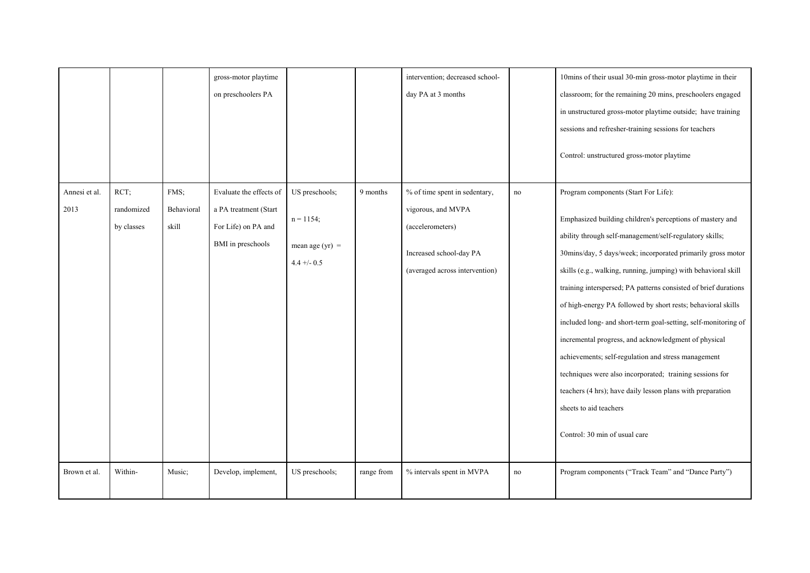|                       |                                  |                             | gross-motor playtime<br>on preschoolers PA                                                   |                                                                      |            | intervention; decreased school-<br>day PA at 3 months                                                                                |                     | 10mins of their usual 30-min gross-motor playtime in their<br>classroom; for the remaining 20 mins, preschoolers engaged<br>in unstructured gross-motor playtime outside; have training<br>sessions and refresher-training sessions for teachers<br>Control: unstructured gross-motor playtime                                                                                                                                                                                                                                                                                                                                                                                                                                                                                                         |
|-----------------------|----------------------------------|-----------------------------|----------------------------------------------------------------------------------------------|----------------------------------------------------------------------|------------|--------------------------------------------------------------------------------------------------------------------------------------|---------------------|--------------------------------------------------------------------------------------------------------------------------------------------------------------------------------------------------------------------------------------------------------------------------------------------------------------------------------------------------------------------------------------------------------------------------------------------------------------------------------------------------------------------------------------------------------------------------------------------------------------------------------------------------------------------------------------------------------------------------------------------------------------------------------------------------------|
| Annesi et al.<br>2013 | RCT;<br>randomized<br>by classes | FMS;<br>Behavioral<br>skill | Evaluate the effects of<br>a PA treatment (Start<br>For Life) on PA and<br>BMI in preschools | US preschools;<br>$n = 1154;$<br>mean age $(yr)$ =<br>$4.4 + (-0.5)$ | 9 months   | % of time spent in sedentary,<br>vigorous, and MVPA<br>(accelerometers)<br>Increased school-day PA<br>(averaged across intervention) | $\operatorname{no}$ | Program components (Start For Life):<br>Emphasized building children's perceptions of mastery and<br>ability through self-management/self-regulatory skills;<br>30mins/day, 5 days/week; incorporated primarily gross motor<br>skills (e.g., walking, running, jumping) with behavioral skill<br>training interspersed; PA patterns consisted of brief durations<br>of high-energy PA followed by short rests; behavioral skills<br>included long- and short-term goal-setting, self-monitoring of<br>incremental progress, and acknowledgment of physical<br>achievements; self-regulation and stress management<br>techniques were also incorporated; training sessions for<br>teachers (4 hrs); have daily lesson plans with preparation<br>sheets to aid teachers<br>Control: 30 min of usual care |
| Brown et al.          | Within-                          | Music;                      | Develop, implement,                                                                          | US preschools;                                                       | range from | % intervals spent in MVPA                                                                                                            | no                  | Program components ("Track Team" and "Dance Party")                                                                                                                                                                                                                                                                                                                                                                                                                                                                                                                                                                                                                                                                                                                                                    |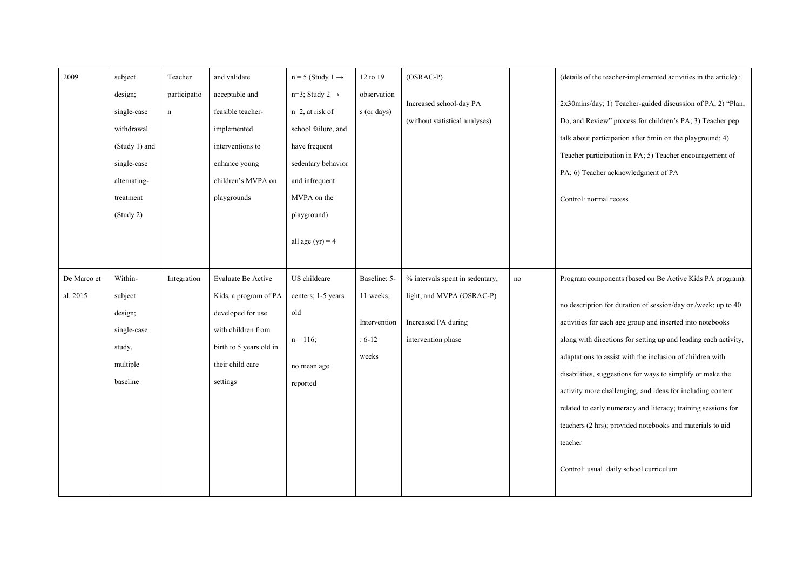| 2009                    | subject                                                                                                        | Teacher                     | and validate                                                                                                                                      | $n = 5$ (Study 1 $\rightarrow$                                                                                                                                                       | 12 to 19                                                       | $(OSRAC-P)$                                                                                               |           | (details of the teacher-implemented activities in the article) :                                                                                                                                                                                                                                                                                                                                                                                                                                                                                                                                                                      |
|-------------------------|----------------------------------------------------------------------------------------------------------------|-----------------------------|---------------------------------------------------------------------------------------------------------------------------------------------------|--------------------------------------------------------------------------------------------------------------------------------------------------------------------------------------|----------------------------------------------------------------|-----------------------------------------------------------------------------------------------------------|-----------|---------------------------------------------------------------------------------------------------------------------------------------------------------------------------------------------------------------------------------------------------------------------------------------------------------------------------------------------------------------------------------------------------------------------------------------------------------------------------------------------------------------------------------------------------------------------------------------------------------------------------------------|
|                         | design;<br>single-case<br>withdrawal<br>(Study 1) and<br>single-case<br>alternating-<br>treatment<br>(Study 2) | participatio<br>$\mathbf n$ | acceptable and<br>feasible teacher-<br>implemented<br>interventions to<br>enhance young<br>children's MVPA on<br>playgrounds                      | $n=3$ ; Study 2 $\rightarrow$<br>n=2, at risk of<br>school failure, and<br>have frequent<br>sedentary behavior<br>and infrequent<br>MVPA on the<br>playground)<br>all age $(yr) = 4$ | observation<br>s (or days)                                     | Increased school-day PA<br>(without statistical analyses)                                                 |           | 2x30mins/day; 1) Teacher-guided discussion of PA; 2) "Plan,<br>Do, and Review" process for children's PA; 3) Teacher pep<br>talk about participation after 5min on the playground; 4)<br>Teacher participation in PA; 5) Teacher encouragement of<br>PA; 6) Teacher acknowledgment of PA<br>Control: normal recess                                                                                                                                                                                                                                                                                                                    |
| De Marco et<br>al. 2015 | Within-<br>subject<br>design;<br>single-case<br>study,<br>multiple<br>baseline                                 | Integration                 | Evaluate Be Active<br>Kids, a program of PA<br>developed for use<br>with children from<br>birth to 5 years old in<br>their child care<br>settings | US childcare<br>centers; 1-5 years<br>old<br>$n = 116;$<br>no mean age<br>reported                                                                                                   | Baseline: 5-<br>11 weeks;<br>Intervention<br>$: 6-12$<br>weeks | % intervals spent in sedentary,<br>light, and MVPA (OSRAC-P)<br>Increased PA during<br>intervention phase | $\rm{no}$ | Program components (based on Be Active Kids PA program):<br>no description for duration of session/day or /week; up to 40<br>activities for each age group and inserted into notebooks<br>along with directions for setting up and leading each activity,<br>adaptations to assist with the inclusion of children with<br>disabilities, suggestions for ways to simplify or make the<br>activity more challenging, and ideas for including content<br>related to early numeracy and literacy; training sessions for<br>teachers (2 hrs); provided notebooks and materials to aid<br>teacher<br>Control: usual daily school curriculum |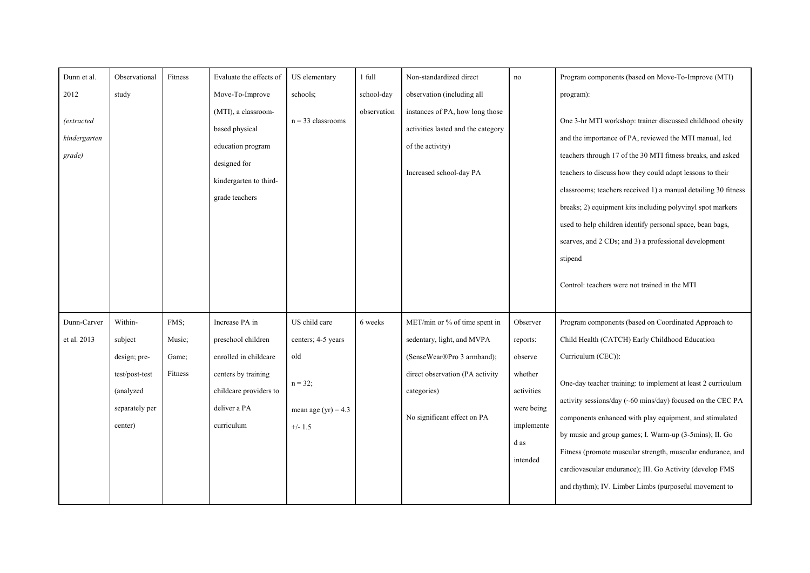| Dunn et al.                                          | Observational                                                                                  | Fitness                            | Evaluate the effects of                                                                                                                      | US elementary                                                                                 | 1 full                    | Non-standardized direct                                                                                                                                                    | no                                                                                                       | Program components (based on Move-To-Improve (MTI)                                                                                                                                                                                                                                                                                                                                                                                                                                                                                                                  |
|------------------------------------------------------|------------------------------------------------------------------------------------------------|------------------------------------|----------------------------------------------------------------------------------------------------------------------------------------------|-----------------------------------------------------------------------------------------------|---------------------------|----------------------------------------------------------------------------------------------------------------------------------------------------------------------------|----------------------------------------------------------------------------------------------------------|---------------------------------------------------------------------------------------------------------------------------------------------------------------------------------------------------------------------------------------------------------------------------------------------------------------------------------------------------------------------------------------------------------------------------------------------------------------------------------------------------------------------------------------------------------------------|
| 2012<br><i>(extracted)</i><br>kindergarten<br>grade) | study                                                                                          |                                    | Move-To-Improve<br>(MTI), a classroom-<br>based physical<br>education program<br>designed for<br>kindergarten to third-                      | schools;<br>$n = 33$ classrooms                                                               | school-day<br>observation | observation (including all<br>instances of PA, how long those<br>activities lasted and the category<br>of the activity)<br>Increased school-day PA                         |                                                                                                          | program):<br>One 3-hr MTI workshop: trainer discussed childhood obesity<br>and the importance of PA, reviewed the MTI manual, led<br>teachers through 17 of the 30 MTI fitness breaks, and asked<br>teachers to discuss how they could adapt lessons to their                                                                                                                                                                                                                                                                                                       |
|                                                      |                                                                                                |                                    | grade teachers                                                                                                                               |                                                                                               |                           |                                                                                                                                                                            |                                                                                                          | classrooms; teachers received 1) a manual detailing 30 fitness<br>breaks; 2) equipment kits including polyvinyl spot markers<br>used to help children identify personal space, bean bags,<br>scarves, and 2 CDs; and 3) a professional development<br>stipend<br>Control: teachers were not trained in the MTI                                                                                                                                                                                                                                                      |
| Dunn-Carver<br>et al. 2013                           | Within-<br>subject<br>design; pre-<br>test/post-test<br>(analyzed<br>separately per<br>center) | FMS;<br>Music;<br>Game;<br>Fitness | Increase PA in<br>preschool children<br>enrolled in childcare<br>centers by training<br>childcare providers to<br>deliver a PA<br>curriculum | US child care<br>centers; 4-5 years<br>old<br>$n = 32;$<br>mean age (yr) = $4.3$<br>$+/- 1.5$ | 6 weeks                   | MET/min or % of time spent in<br>sedentary, light, and MVPA<br>(SenseWear®Pro 3 armband);<br>direct observation (PA activity<br>categories)<br>No significant effect on PA | Observer<br>reports:<br>observe<br>whether<br>activities<br>were being<br>implemente<br>d as<br>intended | Program components (based on Coordinated Approach to<br>Child Health (CATCH) Early Childhood Education<br>Curriculum (CEC)):<br>One-day teacher training: to implement at least 2 curriculum<br>activity sessions/day (~60 mins/day) focused on the CEC PA<br>components enhanced with play equipment, and stimulated<br>by music and group games; I. Warm-up (3-5mins); II. Go<br>Fitness (promote muscular strength, muscular endurance, and<br>cardiovascular endurance); III. Go Activity (develop FMS<br>and rhythm); IV. Limber Limbs (purposeful movement to |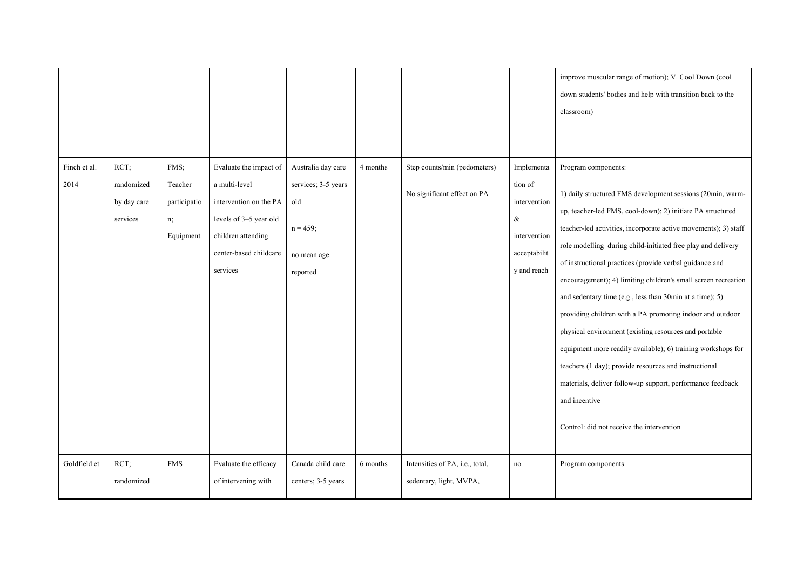|                      |                                               |                                                    |                                                                                                                                                         |                                                                                            |          |                                                             |                                                                                              | improve muscular range of motion); V. Cool Down (cool<br>down students' bodies and help with transition back to the<br>classroom)                                                                                                                                                                                                                                                                                                                                                                                                                                                                                                                                                                                                                                                                                                                      |
|----------------------|-----------------------------------------------|----------------------------------------------------|---------------------------------------------------------------------------------------------------------------------------------------------------------|--------------------------------------------------------------------------------------------|----------|-------------------------------------------------------------|----------------------------------------------------------------------------------------------|--------------------------------------------------------------------------------------------------------------------------------------------------------------------------------------------------------------------------------------------------------------------------------------------------------------------------------------------------------------------------------------------------------------------------------------------------------------------------------------------------------------------------------------------------------------------------------------------------------------------------------------------------------------------------------------------------------------------------------------------------------------------------------------------------------------------------------------------------------|
| Finch et al.<br>2014 | RCT;<br>randomized<br>by day care<br>services | FMS;<br>Teacher<br>participatio<br>n;<br>Equipment | Evaluate the impact of<br>a multi-level<br>intervention on the PA<br>levels of 3-5 year old<br>children attending<br>center-based childcare<br>services | Australia day care<br>services; 3-5 years<br>old<br>$n = 459$ ;<br>no mean age<br>reported | 4 months | Step counts/min (pedometers)<br>No significant effect on PA | Implementa<br>tion of<br>intervention<br>$\&$<br>intervention<br>acceptabilit<br>y and reach | Program components:<br>1) daily structured FMS development sessions (20min, warm-<br>up, teacher-led FMS, cool-down); 2) initiate PA structured<br>teacher-led activities, incorporate active movements); 3) staff<br>role modelling during child-initiated free play and delivery<br>of instructional practices (provide verbal guidance and<br>encouragement); 4) limiting children's small screen recreation<br>and sedentary time (e.g., less than 30min at a time); 5)<br>providing children with a PA promoting indoor and outdoor<br>physical environment (existing resources and portable<br>equipment more readily available); 6) training workshops for<br>teachers (1 day); provide resources and instructional<br>materials, deliver follow-up support, performance feedback<br>and incentive<br>Control: did not receive the intervention |
| Goldfield et         | RCT;<br>randomized                            | <b>FMS</b>                                         | Evaluate the efficacy<br>of intervening with                                                                                                            | Canada child care<br>centers; 3-5 years                                                    | 6 months | Intensities of PA, i.e., total,<br>sedentary, light, MVPA,  | $\operatorname{no}$                                                                          | Program components:                                                                                                                                                                                                                                                                                                                                                                                                                                                                                                                                                                                                                                                                                                                                                                                                                                    |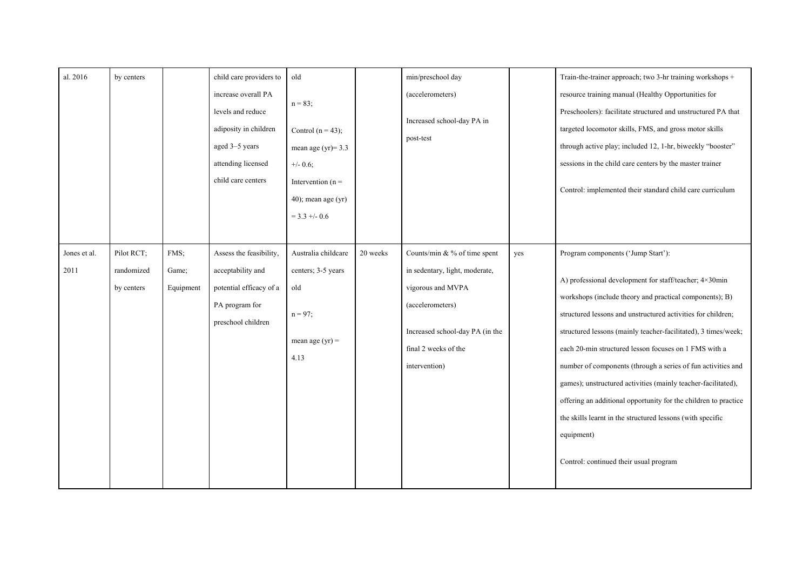| al. 2016             | by centers                             |                            | child care providers to<br>increase overall PA<br>levels and reduce<br>adiposity in children<br>aged 3-5 years<br>attending licensed<br>child care centers | old<br>$n = 83;$<br>Control $(n = 43)$ ;<br>mean age (yr)= $3.3$<br>$+/- 0.6$ ;<br>Intervention ( $n =$<br>$40$ ; mean age (yr)<br>$=$ 3.3 +/- 0.6 |          | min/preschool day<br>(accelerometers)<br>Increased school-day PA in<br>post-test                                                                                                    |     | Train-the-trainer approach; two 3-hr training workshops +<br>resource training manual (Healthy Opportunities for<br>Preschoolers): facilitate structured and unstructured PA that<br>targeted locomotor skills, FMS, and gross motor skills<br>through active play; included 12, 1-hr, biweekly "booster"<br>sessions in the child care centers by the master trainer<br>Control: implemented their standard child care curriculum                                                                                                                                                                                                                                           |
|----------------------|----------------------------------------|----------------------------|------------------------------------------------------------------------------------------------------------------------------------------------------------|----------------------------------------------------------------------------------------------------------------------------------------------------|----------|-------------------------------------------------------------------------------------------------------------------------------------------------------------------------------------|-----|------------------------------------------------------------------------------------------------------------------------------------------------------------------------------------------------------------------------------------------------------------------------------------------------------------------------------------------------------------------------------------------------------------------------------------------------------------------------------------------------------------------------------------------------------------------------------------------------------------------------------------------------------------------------------|
| Jones et al.<br>2011 | Pilot RCT;<br>randomized<br>by centers | FMS:<br>Game;<br>Equipment | Assess the feasibility,<br>acceptability and<br>potential efficacy of a<br>PA program for<br>preschool children                                            | Australia childcare<br>centers; 3-5 years<br>old<br>$n = 97$ ;<br>mean age $(yr) =$<br>4.13                                                        | 20 weeks | Counts/min & % of time spent<br>in sedentary, light, moderate,<br>vigorous and MVPA<br>(accelerometers)<br>Increased school-day PA (in the<br>final 2 weeks of the<br>intervention) | yes | Program components ('Jump Start'):<br>A) professional development for staff/teacher; 4×30min<br>workshops (include theory and practical components); B)<br>structured lessons and unstructured activities for children;<br>structured lessons (mainly teacher-facilitated), 3 times/week;<br>each 20-min structured lesson focuses on 1 FMS with a<br>number of components (through a series of fun activities and<br>games); unstructured activities (mainly teacher-facilitated),<br>offering an additional opportunity for the children to practice<br>the skills learnt in the structured lessons (with specific<br>equipment)<br>Control: continued their usual program |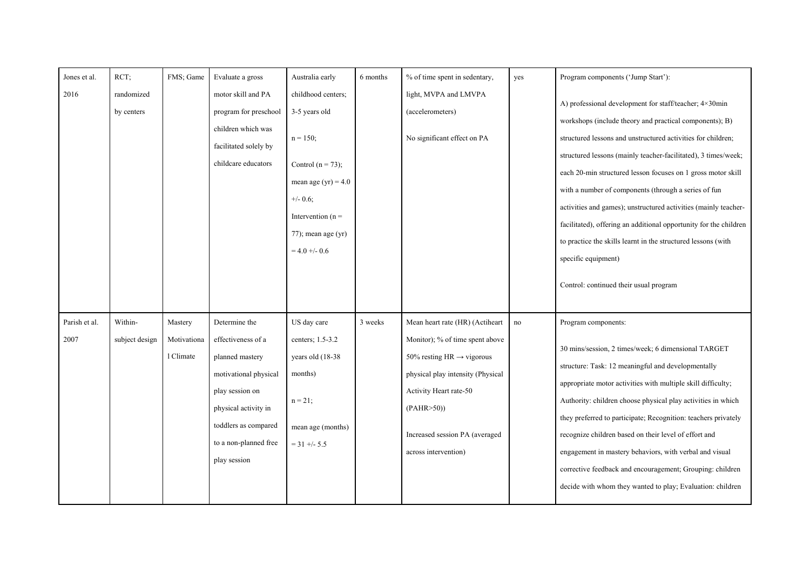| Jones et al.          | RCT:                      | FMS; Game                           | Evaluate a gross                                                                                                                                                                            | Australia early                                                                                                                                                                      | 6 months | % of time spent in sedentary,                                                                                                                                                                                                                     | yes | Program components ('Jump Start'):                                                                                                                                                                                                                                                                                                                                                                                                                                                                                                                                                                                                                    |
|-----------------------|---------------------------|-------------------------------------|---------------------------------------------------------------------------------------------------------------------------------------------------------------------------------------------|--------------------------------------------------------------------------------------------------------------------------------------------------------------------------------------|----------|---------------------------------------------------------------------------------------------------------------------------------------------------------------------------------------------------------------------------------------------------|-----|-------------------------------------------------------------------------------------------------------------------------------------------------------------------------------------------------------------------------------------------------------------------------------------------------------------------------------------------------------------------------------------------------------------------------------------------------------------------------------------------------------------------------------------------------------------------------------------------------------------------------------------------------------|
| 2016                  | randomized<br>by centers  |                                     | motor skill and PA<br>program for preschool<br>children which was<br>facilitated solely by<br>childcare educators                                                                           | childhood centers;<br>3-5 years old<br>$n = 150$ ;<br>Control $(n = 73)$ ;<br>mean age $(yr) = 4.0$<br>$+/- 0.6$ ;<br>Intervention ( $n =$<br>$77$ ; mean age (yr)<br>$= 4.0 + -0.6$ |          | light, MVPA and LMVPA<br>(accelerometers)<br>No significant effect on PA                                                                                                                                                                          |     | A) professional development for staff/teacher; 4×30min<br>workshops (include theory and practical components); B)<br>structured lessons and unstructured activities for children;<br>structured lessons (mainly teacher-facilitated), 3 times/week;<br>each 20-min structured lesson focuses on 1 gross motor skill<br>with a number of components (through a series of fun<br>activities and games); unstructured activities (mainly teacher-<br>facilitated), offering an additional opportunity for the children<br>to practice the skills learnt in the structured lessons (with<br>specific equipment)<br>Control: continued their usual program |
| Parish et al.<br>2007 | Within-<br>subject design | Mastery<br>Motivationa<br>1 Climate | Determine the<br>effectiveness of a<br>planned mastery<br>motivational physical<br>play session on<br>physical activity in<br>toddlers as compared<br>to a non-planned free<br>play session | US day care<br>centers; 1.5-3.2<br>years old (18-38)<br>months)<br>$n = 21$ ;<br>mean age (months)<br>$=$ 31 +/- 5.5                                                                 | 3 weeks  | Mean heart rate (HR) (Actiheart<br>Monitor); % of time spent above<br>50% resting HR $\rightarrow$ vigorous<br>physical play intensity (Physical<br>Activity Heart rate-50<br>(PAHR>50)<br>Increased session PA (averaged<br>across intervention) | no  | Program components:<br>30 mins/session, 2 times/week; 6 dimensional TARGET<br>structure: Task: 12 meaningful and developmentally<br>appropriate motor activities with multiple skill difficulty;<br>Authority: children choose physical play activities in which<br>they preferred to participate; Recognition: teachers privately<br>recognize children based on their level of effort and<br>engagement in mastery behaviors, with verbal and visual<br>corrective feedback and encouragement; Grouping: children<br>decide with whom they wanted to play; Evaluation: children                                                                     |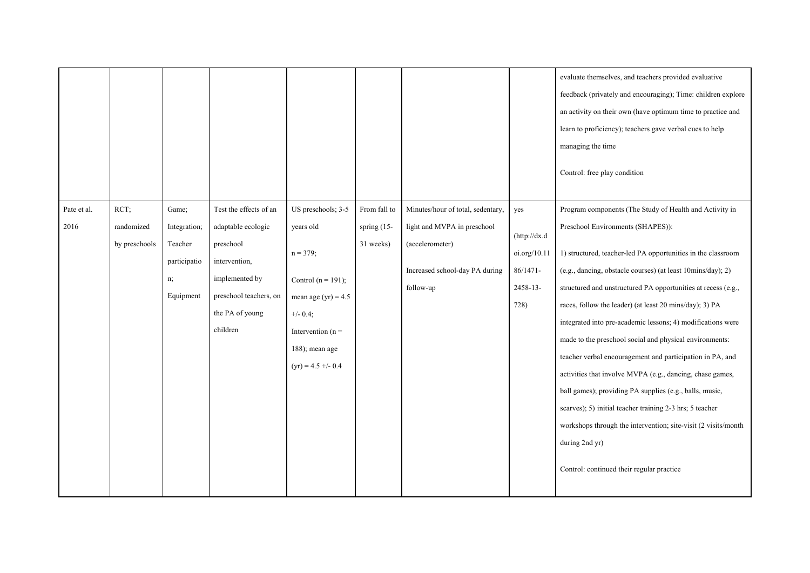|                     |                                     |                                                                     |                                                                                                                                                       |                                                                                                                                                                               |                                          |                                                                                                                                    |                                                                        | evaluate themselves, and teachers provided evaluative<br>feedback (privately and encouraging); Time: children explore<br>an activity on their own (have optimum time to practice and<br>learn to proficiency); teachers gave verbal cues to help<br>managing the time<br>Control: free play condition                                                                                                                                                                                                                                                                                                                                                                                                                                                                                                                                                               |
|---------------------|-------------------------------------|---------------------------------------------------------------------|-------------------------------------------------------------------------------------------------------------------------------------------------------|-------------------------------------------------------------------------------------------------------------------------------------------------------------------------------|------------------------------------------|------------------------------------------------------------------------------------------------------------------------------------|------------------------------------------------------------------------|---------------------------------------------------------------------------------------------------------------------------------------------------------------------------------------------------------------------------------------------------------------------------------------------------------------------------------------------------------------------------------------------------------------------------------------------------------------------------------------------------------------------------------------------------------------------------------------------------------------------------------------------------------------------------------------------------------------------------------------------------------------------------------------------------------------------------------------------------------------------|
| Pate et al.<br>2016 | RCT:<br>randomized<br>by preschools | Game:<br>Integration;<br>Teacher<br>participatio<br>n;<br>Equipment | Test the effects of an<br>adaptable ecologic<br>preschool<br>intervention,<br>implemented by<br>preschool teachers, on<br>the PA of young<br>children | US preschools; 3-5<br>years old<br>$n = 379;$<br>Control ( $n = 191$ );<br>mean age $(yr) = 4.5$<br>$+/- 0.4;$<br>Intervention $(n =$<br>188); mean age<br>$(yr) = 4.5 + 0.4$ | From fall to<br>spring (15-<br>31 weeks) | Minutes/hour of total, sedentary,<br>light and MVPA in preschool<br>(accelerometer)<br>Increased school-day PA during<br>follow-up | yes<br>(http://dx.d<br>oi.org/10.11<br>$86/1471 -$<br>2458-13-<br>728) | Program components (The Study of Health and Activity in<br>Preschool Environments (SHAPES)):<br>1) structured, teacher-led PA opportunities in the classroom<br>(e.g., dancing, obstacle courses) (at least 10mins/day); 2)<br>structured and unstructured PA opportunities at recess (e.g.,<br>races, follow the leader) (at least 20 mins/day); 3) PA<br>integrated into pre-academic lessons; 4) modifications were<br>made to the preschool social and physical environments:<br>teacher verbal encouragement and participation in PA, and<br>activities that involve MVPA (e.g., dancing, chase games,<br>ball games); providing PA supplies (e.g., balls, music,<br>scarves); 5) initial teacher training 2-3 hrs; 5 teacher<br>workshops through the intervention; site-visit (2 visits/month<br>during 2nd yr)<br>Control: continued their regular practice |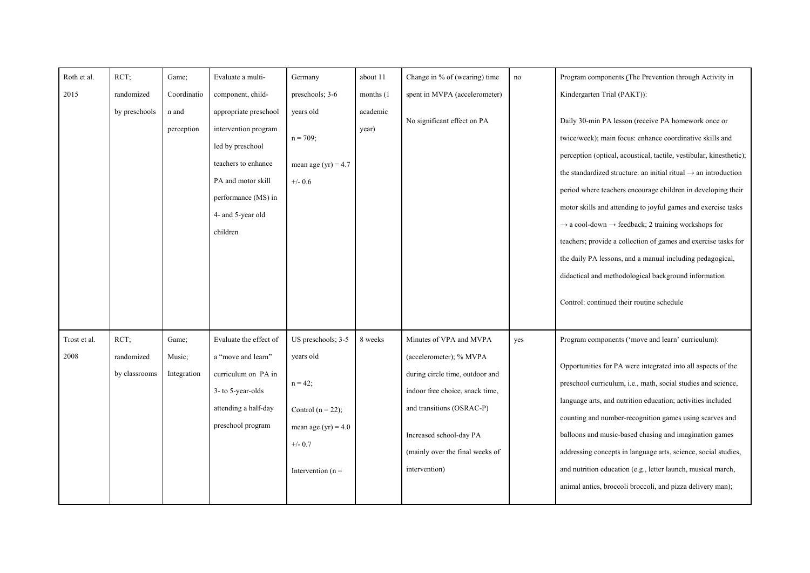| Roth et al.          | RCT                                 | Game;                          | Evaluate a multi-                                                                                                                                                      | Germany                                                                                                                            | about 11          | Change in % of (wearing) time                                                                                                                                                                                                        | no  | Program components (The Prevention through Activity in                                                                                                                                                                                                                                                                                                                                                                                                                                                                                                                                                                                                                                                                   |
|----------------------|-------------------------------------|--------------------------------|------------------------------------------------------------------------------------------------------------------------------------------------------------------------|------------------------------------------------------------------------------------------------------------------------------------|-------------------|--------------------------------------------------------------------------------------------------------------------------------------------------------------------------------------------------------------------------------------|-----|--------------------------------------------------------------------------------------------------------------------------------------------------------------------------------------------------------------------------------------------------------------------------------------------------------------------------------------------------------------------------------------------------------------------------------------------------------------------------------------------------------------------------------------------------------------------------------------------------------------------------------------------------------------------------------------------------------------------------|
| 2015                 | randomized                          | Coordinatio                    | component, child-                                                                                                                                                      | preschools; $3-6$                                                                                                                  | months (1)        | spent in MVPA (accelerometer)                                                                                                                                                                                                        |     | Kindergarten Trial (PAKT)):                                                                                                                                                                                                                                                                                                                                                                                                                                                                                                                                                                                                                                                                                              |
|                      | by preschools                       | n and<br>perception            | appropriate preschool<br>intervention program<br>led by preschool<br>teachers to enhance<br>PA and motor skill<br>performance (MS) in<br>4- and 5-year old<br>children | years old<br>$n = 709$ ;<br>mean age (yr) = $4.7$<br>$+/- 0.6$                                                                     | academic<br>year) | No significant effect on PA                                                                                                                                                                                                          |     | Daily 30-min PA lesson (receive PA homework once or<br>twice/week); main focus: enhance coordinative skills and<br>perception (optical, acoustical, tactile, vestibular, kinesthetic);<br>the standardized structure: an initial ritual $\rightarrow$ an introduction<br>period where teachers encourage children in developing their<br>motor skills and attending to joyful games and exercise tasks<br>$\rightarrow$ a cool-down $\rightarrow$ feedback; 2 training workshops for<br>teachers; provide a collection of games and exercise tasks for<br>the daily PA lessons, and a manual including pedagogical,<br>didactical and methodological background information<br>Control: continued their routine schedule |
| Trost et al.<br>2008 | RCT;<br>randomized<br>by classrooms | Game;<br>Music;<br>Integration | Evaluate the effect of<br>a "move and learn"<br>curriculum on PA in<br>3- to 5-year-olds<br>attending a half-day<br>preschool program                                  | US preschools; 3-5<br>years old<br>$n = 42;$<br>Control $(n = 22)$ ;<br>mean age (yr) = $4.0$<br>$+/- 0.7$<br>Intervention ( $n =$ | 8 weeks           | Minutes of VPA and MVPA<br>(accelerometer); % MVPA<br>during circle time, outdoor and<br>indoor free choice, snack time,<br>and transitions (OSRAC-P)<br>Increased school-day PA<br>(mainly over the final weeks of<br>intervention) | yes | Program components ('move and learn' curriculum):<br>Opportunities for PA were integrated into all aspects of the<br>preschool curriculum, i.e., math, social studies and science,<br>language arts, and nutrition education; activities included<br>counting and number-recognition games using scarves and<br>balloons and music-based chasing and imagination games<br>addressing concepts in language arts, science, social studies,<br>and nutrition education (e.g., letter launch, musical march,<br>animal antics, broccoli broccoli, and pizza delivery man);                                                                                                                                                   |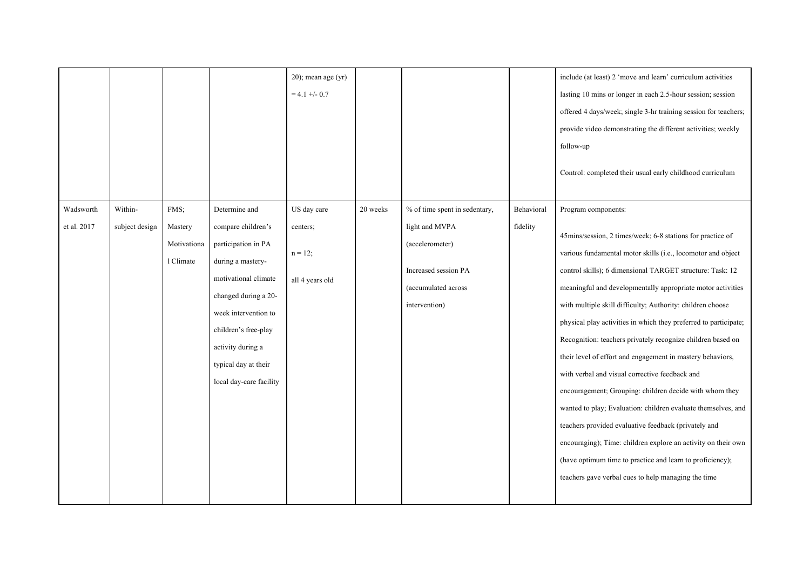|                          |                           |                                             |                                                                                                                                                                                                                                                         | $20$ ; mean age (yr)<br>$= 4.1 + -0.7$                  |          |                                                                                                                                    |                        | include (at least) 2 'move and learn' curriculum activities<br>lasting 10 mins or longer in each 2.5-hour session; session<br>offered 4 days/week; single 3-hr training session for teachers;<br>provide video demonstrating the different activities; weekly<br>follow-up<br>Control: completed their usual early childhood curriculum                                                                                                                                                                                                                                                                                                                                                                                                                                                                                                                                                                                                                                 |
|--------------------------|---------------------------|---------------------------------------------|---------------------------------------------------------------------------------------------------------------------------------------------------------------------------------------------------------------------------------------------------------|---------------------------------------------------------|----------|------------------------------------------------------------------------------------------------------------------------------------|------------------------|-------------------------------------------------------------------------------------------------------------------------------------------------------------------------------------------------------------------------------------------------------------------------------------------------------------------------------------------------------------------------------------------------------------------------------------------------------------------------------------------------------------------------------------------------------------------------------------------------------------------------------------------------------------------------------------------------------------------------------------------------------------------------------------------------------------------------------------------------------------------------------------------------------------------------------------------------------------------------|
| Wadsworth<br>et al. 2017 | Within-<br>subject design | FMS:<br>Mastery<br>Motivationa<br>1 Climate | Determine and<br>compare children's<br>participation in PA<br>during a mastery-<br>motivational climate<br>changed during a 20-<br>week intervention to<br>children's free-play<br>activity during a<br>typical day at their<br>local day-care facility | US day care<br>centers;<br>$n = 12;$<br>all 4 years old | 20 weeks | % of time spent in sedentary,<br>light and MVPA<br>(accelerometer)<br>Increased session PA<br>(accumulated across<br>intervention) | Behavioral<br>fidelity | Program components:<br>45mins/session, 2 times/week; 6-8 stations for practice of<br>various fundamental motor skills (i.e., locomotor and object<br>control skills); 6 dimensional TARGET structure: Task: 12<br>meaningful and developmentally appropriate motor activities<br>with multiple skill difficulty; Authority: children choose<br>physical play activities in which they preferred to participate;<br>Recognition: teachers privately recognize children based on<br>their level of effort and engagement in mastery behaviors,<br>with verbal and visual corrective feedback and<br>encouragement; Grouping: children decide with whom they<br>wanted to play; Evaluation: children evaluate themselves, and<br>teachers provided evaluative feedback (privately and<br>encouraging); Time: children explore an activity on their own<br>(have optimum time to practice and learn to proficiency);<br>teachers gave verbal cues to help managing the time |